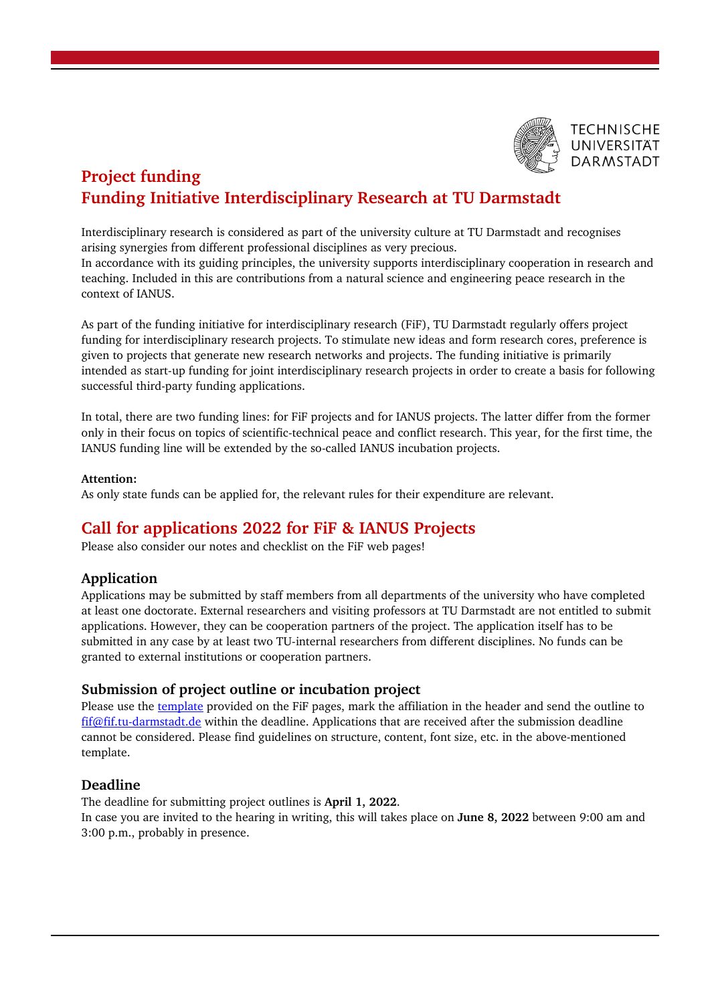

# **Project funding Funding Initiative Interdisciplinary Research at TU Darmstadt**

Interdisciplinary research is considered as part of the university culture at TU Darmstadt and recognises arising synergies from different professional disciplines as very precious. In accordance with its guiding principles, the university supports interdisciplinary cooperation in research and teaching. Included in this are contributions from a natural science and engineering peace research in the context of IANUS.

As part of the funding initiative for interdisciplinary research (FiF), TU Darmstadt regularly offers project funding for interdisciplinary research projects. To stimulate new ideas and form research cores, preference is given to projects that generate new research networks and projects. The funding initiative is primarily intended as start-up funding for joint interdisciplinary research projects in order to create a basis for following successful third-party funding applications.

In total, there are two funding lines: for FiF projects and for IANUS projects. The latter differ from the former only in their focus on topics of scientific-technical peace and conflict research. This year, for the first time, the IANUS funding line will be extended by the so-called IANUS incubation projects.

## **Attention:**

As only state funds can be applied for, the relevant rules for their expenditure are relevant.

## **Call for applications 2022 for FiF & IANUS Projects**

Please also consider our notes and checklist on the FiF web pages!

## **Application**

Applications may be submitted by staff members from all departments of the university who have completed at least one doctorate. External researchers and visiting professors at TU Darmstadt are not entitled to submit applications. However, they can be cooperation partners of the project. The application itself has to be submitted in any case by at least two TU-internal researchers from different disciplines. No funds can be granted to external institutions or cooperation partners.

## **Submission of project outline or incubation project**

Please use the [template](mailto:template) provided on the FiF pages, mark the affiliation in the header and send the outline to [fif@fif.tu-darmstadt.de](mailto:fif@fif.tu-darmstadt.de) within the deadline. Applications that are received after the submission deadline cannot be considered. Please find guidelines on structure, content, font size, etc. in the above-mentioned template.

## **Deadline**

The deadline for submitting project outlines is **April 1, 2022**.

In case you are invited to the hearing in writing, this will takes place on **June 8, 2022** between 9:00 am and 3:00 p.m., probably in presence.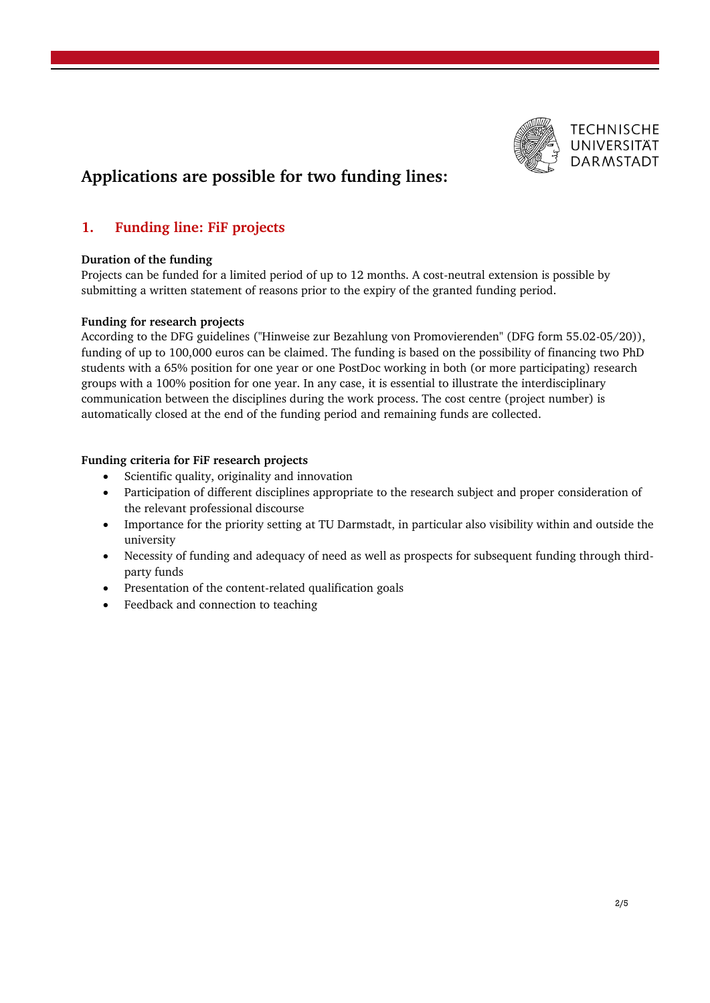

# **Applications are possible for two funding lines:**

## **1. Funding line: FiF projects**

## **Duration of the funding**

Projects can be funded for a limited period of up to 12 months. A cost-neutral extension is possible by submitting a written statement of reasons prior to the expiry of the granted funding period.

## **Funding for research projects**

According to the DFG guidelines ("Hinweise zur Bezahlung von Promovierenden" (DFG form 55.02-05/20)), funding of up to 100,000 euros can be claimed. The funding is based on the possibility of financing two PhD students with a 65% position for one year or one PostDoc working in both (or more participating) research groups with a 100% position for one year. In any case, it is essential to illustrate the interdisciplinary communication between the disciplines during the work process. The cost centre (project number) is automatically closed at the end of the funding period and remaining funds are collected.

## **Funding criteria for FiF research projects**

- Scientific quality, originality and innovation
- Participation of different disciplines appropriate to the research subject and proper consideration of the relevant professional discourse
- Importance for the priority setting at TU Darmstadt, in particular also visibility within and outside the university
- Necessity of funding and adequacy of need as well as prospects for subsequent funding through thirdparty funds
- Presentation of the content-related qualification goals
- Feedback and connection to teaching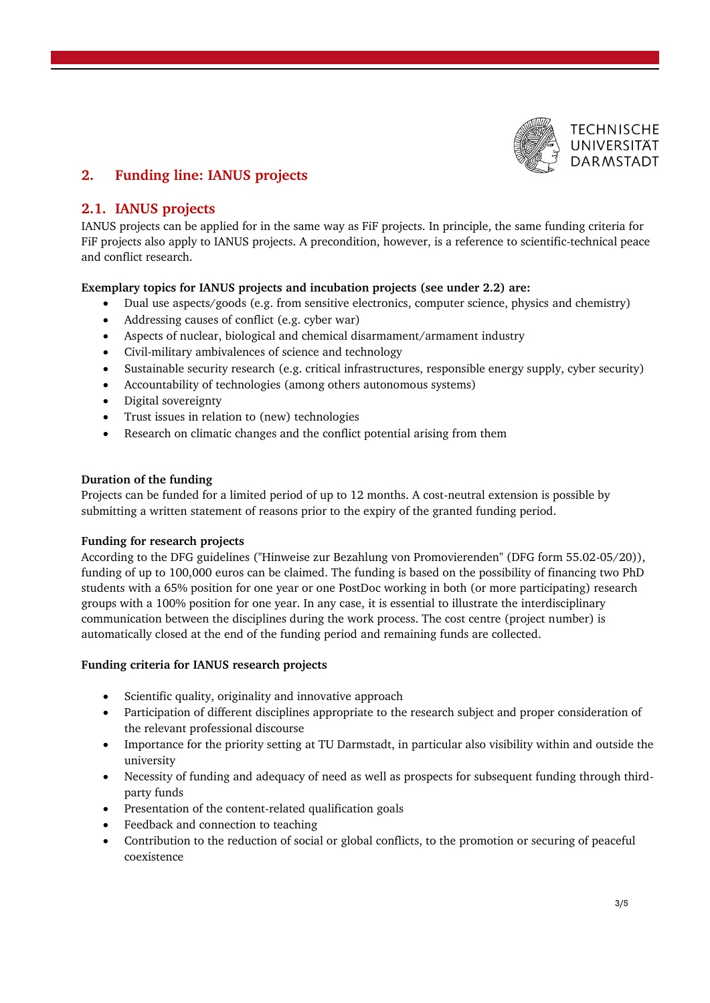

## **2. Funding line: IANUS projects**

## **2.1. IANUS projects**

IANUS projects can be applied for in the same way as FiF projects. In principle, the same funding criteria for FiF projects also apply to IANUS projects. A precondition, however, is a reference to scientific-technical peace and conflict research.

## **Exemplary topics for IANUS projects and incubation projects (see under 2.2) are:**

- Dual use aspects/goods (e.g. from sensitive electronics, computer science, physics and chemistry)
- Addressing causes of conflict (e.g. cyber war)
- Aspects of nuclear, biological and chemical disarmament/armament industry
- Civil-military ambivalences of science and technology
- Sustainable security research (e.g. critical infrastructures, responsible energy supply, cyber security)
- Accountability of technologies (among others autonomous systems)
- Digital sovereignty
- Trust issues in relation to (new) technologies
- Research on climatic changes and the conflict potential arising from them

## **Duration of the funding**

Projects can be funded for a limited period of up to 12 months. A cost-neutral extension is possible by submitting a written statement of reasons prior to the expiry of the granted funding period.

#### **Funding for research projects**

According to the DFG guidelines ("Hinweise zur Bezahlung von Promovierenden" (DFG form 55.02-05/20)), funding of up to 100,000 euros can be claimed. The funding is based on the possibility of financing two PhD students with a 65% position for one year or one PostDoc working in both (or more participating) research groups with a 100% position for one year. In any case, it is essential to illustrate the interdisciplinary communication between the disciplines during the work process. The cost centre (project number) is automatically closed at the end of the funding period and remaining funds are collected.

#### **Funding criteria for IANUS research projects**

- Scientific quality, originality and innovative approach
- Participation of different disciplines appropriate to the research subject and proper consideration of the relevant professional discourse
- Importance for the priority setting at TU Darmstadt, in particular also visibility within and outside the university
- Necessity of funding and adequacy of need as well as prospects for subsequent funding through thirdparty funds
- Presentation of the content-related qualification goals
- Feedback and connection to teaching
- Contribution to the reduction of social or global conflicts, to the promotion or securing of peaceful coexistence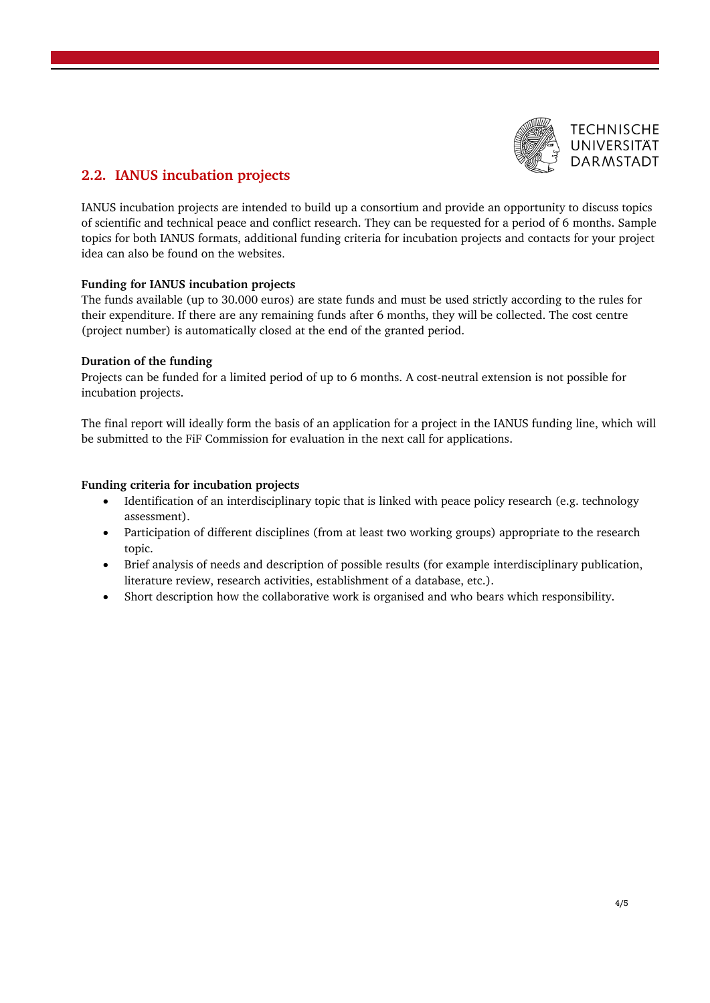

## **2.2. IANUS incubation projects**

IANUS incubation projects are intended to build up a consortium and provide an opportunity to discuss topics of scientific and technical peace and conflict research. They can be requested for a period of 6 months. Sample topics for both IANUS formats, additional funding criteria for incubation projects and contacts for your project idea can also be found on the websites.

## **Funding for IANUS incubation projects**

The funds available (up to 30.000 euros) are state funds and must be used strictly according to the rules for their expenditure. If there are any remaining funds after 6 months, they will be collected. The cost centre (project number) is automatically closed at the end of the granted period.

#### **Duration of the funding**

Projects can be funded for a limited period of up to 6 months. A cost-neutral extension is not possible for incubation projects.

The final report will ideally form the basis of an application for a project in the IANUS funding line, which will be submitted to the FiF Commission for evaluation in the next call for applications.

#### **Funding criteria for incubation projects**

- Identification of an interdisciplinary topic that is linked with peace policy research (e.g. technology assessment).
- Participation of different disciplines (from at least two working groups) appropriate to the research topic.
- Brief analysis of needs and description of possible results (for example interdisciplinary publication, literature review, research activities, establishment of a database, etc.).
- Short description how the collaborative work is organised and who bears which responsibility.